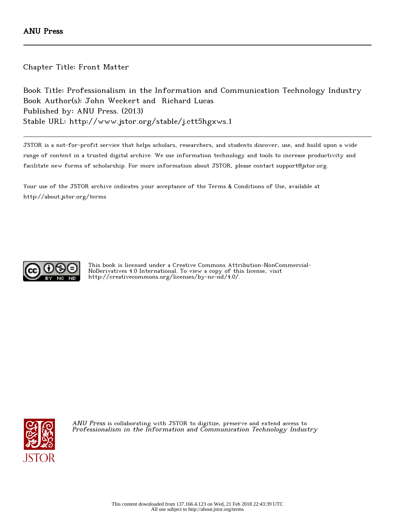Chapter Title: Front Matter

### Book Title: Professionalism in the Information and Communication Technology Industry Book Author(s): John Weckert and Richard Lucas Published by: ANU Press. (2013) Stable URL: http://www.jstor.org/stable/j.ctt5hgxws.1

JSTOR is a not-for-profit service that helps scholars, researchers, and students discover, use, and build upon a wide range of content in a trusted digital archive. We use information technology and tools to increase productivity and facilitate new forms of scholarship. For more information about JSTOR, please contact support@jstor.org.

Your use of the JSTOR archive indicates your acceptance of the Terms & Conditions of Use, available at http://about.jstor.org/terms



This book is licensed under a Creative Commons Attribution-NonCommercial-NoDerivatives 4.0 International. To view a copy of this license, visit http://creativecommons.org/licenses/by-nc-nd/4.0/.



ANU Press is collaborating with JSTOR to digitize, preserve and extend access to Professionalism in the Information and Communication Technology Industry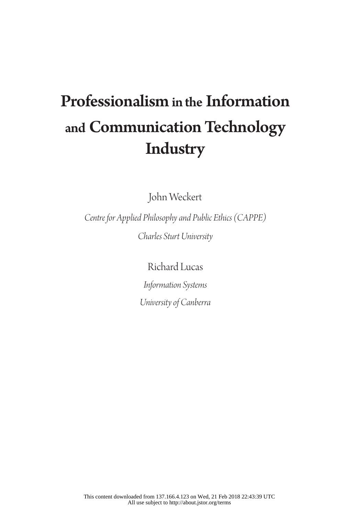# Professionalism in the Information and Communication Technology Industry

John Weckert

*Centre for Applied Philosophy and Public Ethics (CAPPE) Charles Sturt University*

Richard Lucas

*Information Systems University of Canberra*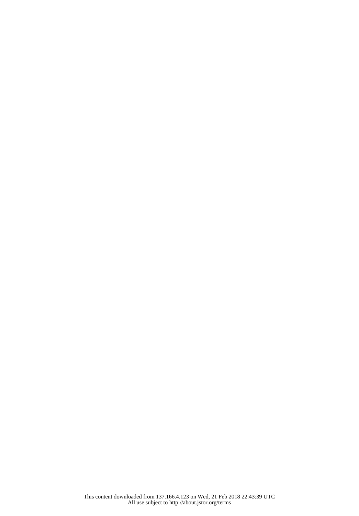This content downloaded from 137.166.4.123 on Wed, 21 Feb 2018 22:43:39 UTC All use subject to http://about.jstor.org/terms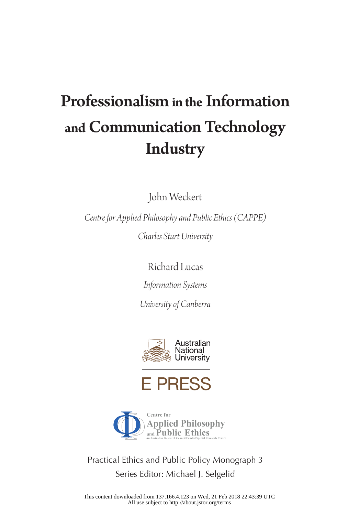# Professionalism **in the** Information **and** Communication Technology Industry

John Weckert

*Centre for Applied Philosophy and Public Ethics (CAPPE) Charles Sturt University*

Richard Lucas

*Information Systems*

*University of Canberra*







Practical Ethics and Public Policy Monograph 3 Series Editor: Michael J. Selgelid

This content downloaded from 137.166.4.123 on Wed, 21 Feb 2018 22:43:39 UTC All use subject to http://about.jstor.org/terms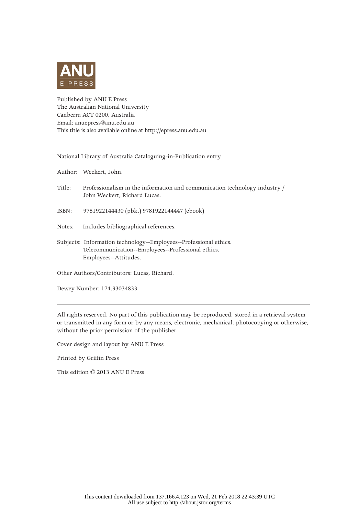

Published by ANU E Press The Australian National University Canberra ACT 0200, Australia Email: anuepress@anu.edu.au This title is also available online at http://epress.anu.edu.au

National Library of Australia Cataloguing-in-Publication entry

Author: Weckert, John.

- Title: Professionalism in the information and communication technology industry / John Weckert, Richard Lucas.
- ISBN: 9781922144430 (pbk.) 9781922144447 (ebook)
- Notes: Includes bibliographical references.
- Subjects: Information technology--Employees--Professional ethics. Telecommunication--Employees--Professional ethics. Employees--Attitudes.

Other Authors/Contributors: Lucas, Richard.

Dewey Number: 174.93034833

All rights reserved. No part of this publication may be reproduced, stored in a retrieval system or transmitted in any form or by any means, electronic, mechanical, photocopying or otherwise, without the prior permission of the publisher.

Cover design and layout by ANU E Press

Printed by Griffin Press

This edition © 2013 ANU E Press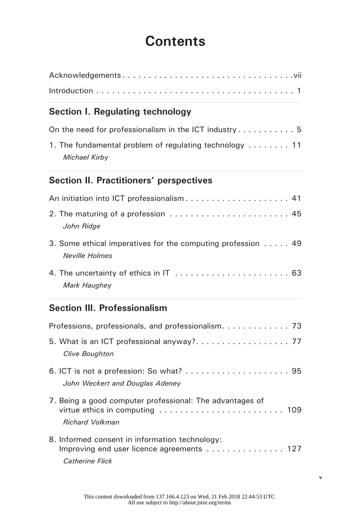## **Contents**

### **Section I. Regulating technology**

| On the need for professionalism in the ICT industry 5 |  |  |  |  |  |  |  |  |  |  |  |  |  |
|-------------------------------------------------------|--|--|--|--|--|--|--|--|--|--|--|--|--|
|-------------------------------------------------------|--|--|--|--|--|--|--|--|--|--|--|--|--|

1. The fundamental problem of regulating technology . . . . . . . . 11 *Michael Kirby*

### **Section II. Practitioners' perspectives**

| 2. The maturing of a profession $\ldots \ldots \ldots \ldots \ldots \ldots \ldots$<br>John Ridge |  |
|--------------------------------------------------------------------------------------------------|--|
| 3. Some ethical imperatives for the computing profession  49<br>Neville Holmes                   |  |
| Mark Haughey                                                                                     |  |

### **Section III. Professionalism**

| <b>Clive Boughton</b>                                                                                                  |  |
|------------------------------------------------------------------------------------------------------------------------|--|
| 6. ICT is not a profession: So what? $\ldots \ldots \ldots \ldots \ldots \ldots$ 95<br>John Weckert and Douglas Adeney |  |
| 7. Being a good computer professional: The advantages of<br>Richard Volkman                                            |  |
| 8. Informed consent in information technology:<br>Improving end user licence agreements 127<br><b>Catherine Flick</b>  |  |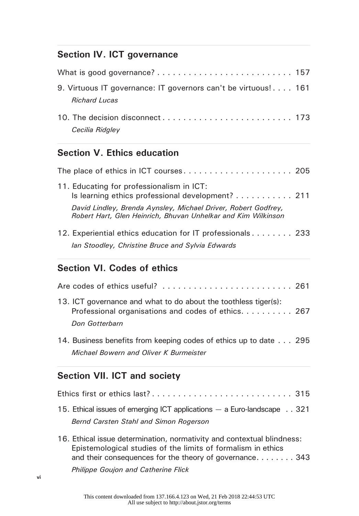### **Section IV. ICT governance**

| What is good governance? $\dots\dots\dots\dots\dots\dots\dots\dots\dots\dots$          |  |
|----------------------------------------------------------------------------------------|--|
| 9. Virtuous IT governance: IT governors can't be virtuous! 161<br><b>Richard Lucas</b> |  |
| Cecilia Ridgley                                                                        |  |

### **Section V. Ethics education**

| 11. Educating for professionalism in ICT:<br>Is learning ethics professional development? 211                                   |  |
|---------------------------------------------------------------------------------------------------------------------------------|--|
| David Lindley, Brenda Aynsley, Michael Driver, Robert Godfrey,<br>Robert Hart, Glen Heinrich, Bhuvan Unhelkar and Kim Wilkinson |  |
| 12. Experiential ethics education for IT professionals 233                                                                      |  |

### *Ian Stoodley, Christine Bruce and Sylvia Edwards*

#### **Section VI. Codes of ethics**

| Michael Bowern and Oliver K Burmeister                                                                                 |  |
|------------------------------------------------------------------------------------------------------------------------|--|
| 14. Business benefits from keeping codes of ethics up to date 295                                                      |  |
| Don Gotterbarn                                                                                                         |  |
| 13. ICT governance and what to do about the toothless tiger(s):<br>Professional organisations and codes of ethics. 267 |  |
|                                                                                                                        |  |

#### **Section VII. ICT and society**

| 15. Ethical issues of emerging ICT applications – a Euro-landscape 321 |  |
|------------------------------------------------------------------------|--|
| <b>Bernd Carsten Stahl and Simon Rogerson</b>                          |  |

16. Ethical issue determination, normativity and contextual blindness: Epistemological studies of the limits of formalism in ethics and their consequences for the theory of governance........ 343

*Philippe Goujon and Catherine Flick*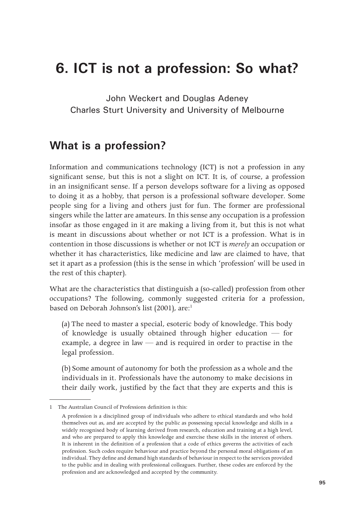### **6. ICT is not a profession: So what?**

John Weckert and Douglas Adeney Charles Sturt University and University of Melbourne

### **What is a profession?**

Information and communications technology (ICT) is not a profession in any significant sense, but this is not a slight on ICT. It is, of course, a profession in an insignificant sense. If a person develops software for a living as opposed to doing it as a hobby, that person is a professional software developer. Some people sing for a living and others just for fun. The former are professional singers while the latter are amateurs. In this sense any occupation is a profession insofar as those engaged in it are making a living from it, but this is not what is meant in discussions about whether or not ICT is a profession. What is in contention in those discussions is whether or not ICT is *merely* an occupation or whether it has characteristics, like medicine and law are claimed to have, that set it apart as a profession (this is the sense in which 'profession' will be used in the rest of this chapter).

What are the characteristics that distinguish a (so-called) profession from other occupations? The following, commonly suggested criteria for a profession, based on Deborah Johnson's list (2001), are:<sup>1</sup>

(a) The need to master a special, esoteric body of knowledge. This body of knowledge is usually obtained through higher education — for example, a degree in law — and is required in order to practise in the legal profession.

(b) Some amount of autonomy for both the profession as a whole and the individuals in it. Professionals have the autonomy to make decisions in their daily work, justified by the fact that they are experts and this is

<sup>1</sup> The Australian Council of Professions definition is this:

A profession is a disciplined group of individuals who adhere to ethical standards and who hold themselves out as, and are accepted by the public as possessing special knowledge and skills in a widely recognised body of learning derived from research, education and training at a high level, and who are prepared to apply this knowledge and exercise these skills in the interest of others. It is inherent in the definition of a profession that a code of ethics governs the activities of each profession. Such codes require behaviour and practice beyond the personal moral obligations of an individual. They define and demand high standards of behaviour in respect to the services provided to the public and in dealing with professional colleagues. Further, these codes are enforced by the profession and are acknowledged and accepted by the community.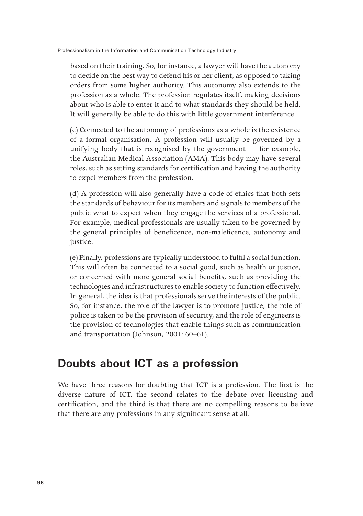Professionalism in the Information and Communication Technology Industry

based on their training. So, for instance, a lawyer will have the autonomy to decide on the best way to defend his or her client, as opposed to taking orders from some higher authority. This autonomy also extends to the profession as a whole. The profession regulates itself, making decisions about who is able to enter it and to what standards they should be held. It will generally be able to do this with little government interference.

(c) Connected to the autonomy of professions as a whole is the existence of a formal organisation. A profession will usually be governed by a unifying body that is recognised by the government — for example, the Australian Medical Association (AMA). This body may have several roles, such as setting standards for certification and having the authority to expel members from the profession.

(d) A profession will also generally have a code of ethics that both sets the standards of behaviour for its members and signals to members of the public what to expect when they engage the services of a professional. For example, medical professionals are usually taken to be governed by the general principles of beneficence, non-maleficence, autonomy and justice.

(e) Finally, professions are typically understood to fulfil a social function. This will often be connected to a social good, such as health or justice, or concerned with more general social benefits, such as providing the technologies and infrastructures to enable society to function effectively. In general, the idea is that professionals serve the interests of the public. So, for instance, the role of the lawyer is to promote justice, the role of police is taken to be the provision of security, and the role of engineers is the provision of technologies that enable things such as communication and transportation (Johnson, 2001: 60–61).

### **Doubts about ICT as a profession**

We have three reasons for doubting that ICT is a profession. The first is the diverse nature of ICT, the second relates to the debate over licensing and certification, and the third is that there are no compelling reasons to believe that there are any professions in any significant sense at all.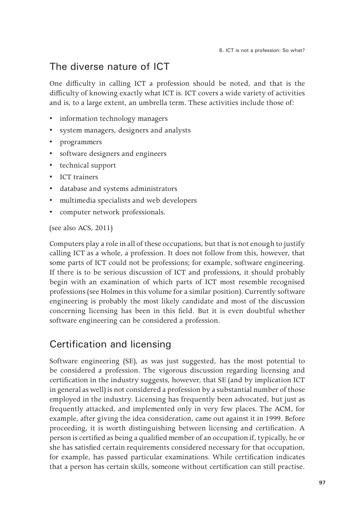### The diverse nature of ICT

One difficulty in calling ICT a profession should be noted, and that is the difficulty of knowing exactly what ICT is. ICT covers a wide variety of activities and is, to a large extent, an umbrella term. These activities include those of:

- information technology managers
- system managers, designers and analysts
- programmers
- software designers and engineers
- technical support
- ICT trainers
- database and systems administrators
- multimedia specialists and web developers
- computer network professionals.

#### (see also ACS, 2011)

Computers play a role in all of these occupations, but that is not enough to justify calling ICT as a whole, a profession. It does not follow from this, however, that some parts of ICT could not be professions; for example, software engineering. If there is to be serious discussion of ICT and professions, it should probably begin with an examination of which parts of ICT most resemble recognised professions (see Holmes in this volume for a similar position). Currently software engineering is probably the most likely candidate and most of the discussion concerning licensing has been in this field. But it is even doubtful whether software engineering can be considered a profession.

### Certification and licensing

Software engineering (SE), as was just suggested, has the most potential to be considered a profession. The vigorous discussion regarding licensing and certification in the industry suggests, however, that SE (and by implication ICT in general as well) is not considered a profession by a substantial number of those employed in the industry. Licensing has frequently been advocated, but just as frequently attacked, and implemented only in very few places. The ACM, for example, after giving the idea consideration, came out against it in 1999. Before proceeding, it is worth distinguishing between licensing and certification. A person is certified as being a qualified member of an occupation if, typically, he or she has satisfied certain requirements considered necessary for that occupation, for example, has passed particular examinations. While certification indicates that a person has certain skills, someone without certification can still practise.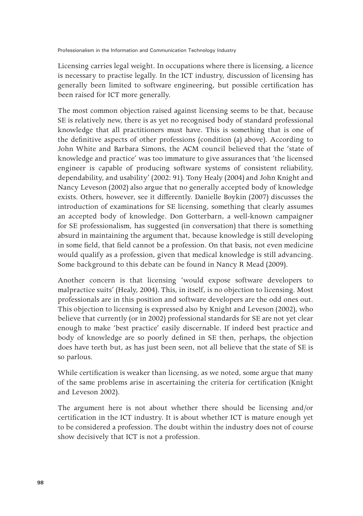Licensing carries legal weight. In occupations where there is licensing, a licence is necessary to practise legally. In the ICT industry, discussion of licensing has generally been limited to software engineering, but possible certification has been raised for ICT more generally.

The most common objection raised against licensing seems to be that, because SE is relatively new, there is as yet no recognised body of standard professional knowledge that all practitioners must have. This is something that is one of the definitive aspects of other professions (condition (a) above). According to John White and Barbara Simons, the ACM council believed that the 'state of knowledge and practice' was too immature to give assurances that 'the licensed engineer is capable of producing software systems of consistent reliability, dependability, and usability' (2002: 91). Tony Healy (2004) and John Knight and Nancy Leveson (2002) also argue that no generally accepted body of knowledge exists. Others, however, see it differently. Danielle Boykin (2007) discusses the introduction of examinations for SE licensing, something that clearly assumes an accepted body of knowledge. Don Gotterbarn, a well-known campaigner for SE professionalism, has suggested (in conversation) that there is something absurd in maintaining the argument that, because knowledge is still developing in some field, that field cannot be a profession. On that basis, not even medicine would qualify as a profession, given that medical knowledge is still advancing. Some background to this debate can be found in Nancy R Mead (2009).

Another concern is that licensing 'would expose software developers to malpractice suits' (Healy, 2004). This, in itself, is no objection to licensing. Most professionals are in this position and software developers are the odd ones out. This objection to licensing is expressed also by Knight and Leveson (2002), who believe that currently (or in 2002) professional standards for SE are not yet clear enough to make 'best practice' easily discernable. If indeed best practice and body of knowledge are so poorly defined in SE then, perhaps, the objection does have teeth but, as has just been seen, not all believe that the state of SE is so parlous.

While certification is weaker than licensing, as we noted, some argue that many of the same problems arise in ascertaining the criteria for certification (Knight and Leveson 2002).

The argument here is not about whether there should be licensing and/or certification in the ICT industry. It is about whether ICT is mature enough yet to be considered a profession. The doubt within the industry does not of course show decisively that ICT is not a profession.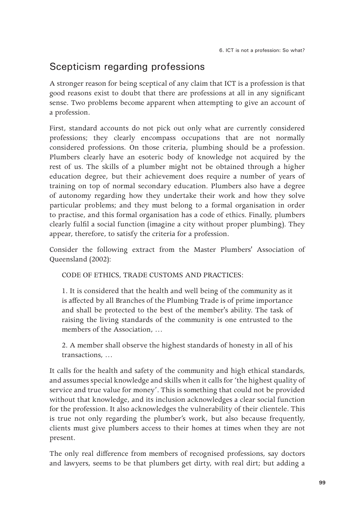### Scepticism regarding professions

A stronger reason for being sceptical of any claim that ICT is a profession is that good reasons exist to doubt that there are professions at all in any significant sense. Two problems become apparent when attempting to give an account of a profession.

First, standard accounts do not pick out only what are currently considered professions; they clearly encompass occupations that are not normally considered professions. On those criteria, plumbing should be a profession. Plumbers clearly have an esoteric body of knowledge not acquired by the rest of us. The skills of a plumber might not be obtained through a higher education degree, but their achievement does require a number of years of training on top of normal secondary education. Plumbers also have a degree of autonomy regarding how they undertake their work and how they solve particular problems; and they must belong to a formal organisation in order to practise, and this formal organisation has a code of ethics. Finally, plumbers clearly fulfil a social function (imagine a city without proper plumbing). They appear, therefore, to satisfy the criteria for a profession.

Consider the following extract from the Master Plumbers' Association of Queensland (2002):

CODE OF ETHICS, TRADE CUSTOMS AND PRACTICES:

1. It is considered that the health and well being of the community as it is affected by all Branches of the Plumbing Trade is of prime importance and shall be protected to the best of the member's ability. The task of raising the living standards of the community is one entrusted to the members of the Association, …

2. A member shall observe the highest standards of honesty in all of his transactions, …

It calls for the health and safety of the community and high ethical standards, and assumes special knowledge and skills when it calls for 'the highest quality of service and true value for money'. This is something that could not be provided without that knowledge, and its inclusion acknowledges a clear social function for the profession. It also acknowledges the vulnerability of their clientele. This is true not only regarding the plumber's work, but also because frequently, clients must give plumbers access to their homes at times when they are not present.

The only real difference from members of recognised professions, say doctors and lawyers, seems to be that plumbers get dirty, with real dirt; but adding a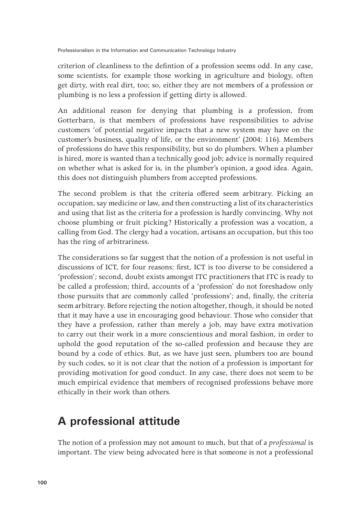criterion of cleanliness to the defintion of a profession seems odd. In any case, some scientists, for example those working in agriculture and biology, often get dirty, with real dirt, too; so, either they are not members of a profession or plumbing is no less a profession if getting dirty is allowed.

An additional reason for denying that plumbing is a profession, from Gotterbarn, is that members of professions have responsibilities to advise customers 'of potential negative impacts that a new system may have on the customer's business, quality of life, or the environment' (2004: 116). Members of professions do have this responsibility, but so do plumbers. When a plumber is hired, more is wanted than a technically good job; advice is normally required on whether what is asked for is, in the plumber's opinion, a good idea. Again, this does not distinguish plumbers from accepted professions.

The second problem is that the criteria offered seem arbitrary. Picking an occupation, say medicine or law, and then constructing a list of its characteristics and using that list as the criteria for a profession is hardly convincing. Why not choose plumbing or fruit picking? Historically a profession was a vocation, a calling from God. The clergy had a vocation, artisans an occupation, but this too has the ring of arbitrariness.

The considerations so far suggest that the notion of a profession is not useful in discussions of ICT, for four reasons: first, ICT is too diverse to be considered a 'profession'; second, doubt exists amongst ITC practitioners that ITC is ready to be called a profession; third, accounts of a 'profession' do not foreshadow only those pursuits that are commonly called 'professions'; and, finally, the criteria seem arbitrary. Before rejecting the notion altogether, though, it should be noted that it may have a use in encouraging good behaviour. Those who consider that they have a profession, rather than merely a job, may have extra motivation to carry out their work in a more conscientious and moral fashion, in order to uphold the good reputation of the so-called profession and because they are bound by a code of ethics. But, as we have just seen, plumbers too are bound by such codes, so it is not clear that the notion of a profession is important for providing motivation for good conduct. In any case, there does not seem to be much empirical evidence that members of recognised professions behave more ethically in their work than others.

### **A professional attitude**

The notion of a profession may not amount to much, but that of a *professional* is important. The view being advocated here is that someone is not a professional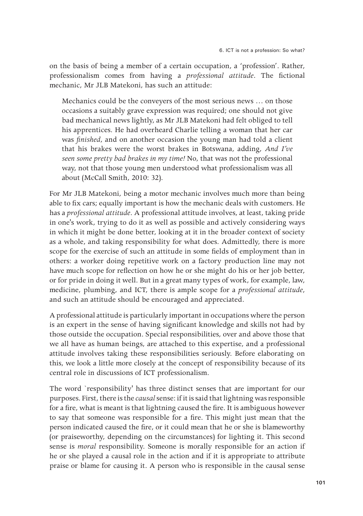on the basis of being a member of a certain occupation, a 'profession'. Rather, professionalism comes from having a *professional attitude*. The fictional mechanic, Mr JLB Matekoni, has such an attitude:

Mechanics could be the conveyers of the most serious news … on those occasions a suitably grave expression was required; one should not give bad mechanical news lightly, as Mr JLB Matekoni had felt obliged to tell his apprentices. He had overheard Charlie telling a woman that her car was *finished*, and on another occasion the young man had told a client that his brakes were the worst brakes in Botswana, adding, *And I've seen some pretty bad brakes in my time!* No, that was not the professional way, not that those young men understood what professionalism was all about (McCall Smith, 2010: 32).

For Mr JLB Matekoni, being a motor mechanic involves much more than being able to fix cars; equally important is how the mechanic deals with customers. He has a *professional attitude*. A professional attitude involves, at least, taking pride in one's work, trying to do it as well as possible and actively considering ways in which it might be done better, looking at it in the broader context of society as a whole, and taking responsibility for what does. Admittedly, there is more scope for the exercise of such an attitude in some fields of employment than in others: a worker doing repetitive work on a factory production line may not have much scope for reflection on how he or she might do his or her job better, or for pride in doing it well. But in a great many types of work, for example, law, medicine, plumbing, and ICT, there is ample scope for a *professional attitude*, and such an attitude should be encouraged and appreciated.

A professional attitude is particularly important in occupations where the person is an expert in the sense of having significant knowledge and skills not had by those outside the occupation. Special responsibilities, over and above those that we all have as human beings, are attached to this expertise, and a professional attitude involves taking these responsibilities seriously. Before elaborating on this, we look a little more closely at the concept of responsibility because of its central role in discussions of ICT professionalism.

The word `responsibility' has three distinct senses that are important for our purposes. First, there is the *causal* sense: if it is said that lightning was responsible for a fire, what is meant is that lightning caused the fire. It is ambiguous however to say that someone was responsible for a fire. This might just mean that the person indicated caused the fire, or it could mean that he or she is blameworthy (or praiseworthy, depending on the circumstances) for lighting it. This second sense is *moral* responsibility. Someone is morally responsible for an action if he or she played a causal role in the action and if it is appropriate to attribute praise or blame for causing it. A person who is responsible in the causal sense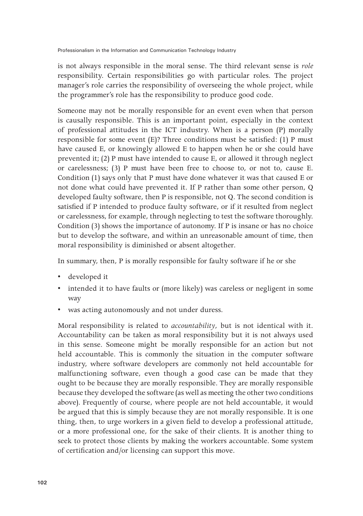is not always responsible in the moral sense. The third relevant sense is *role* responsibility. Certain responsibilities go with particular roles. The project manager's role carries the responsibility of overseeing the whole project, while the programmer's role has the responsibility to produce good code.

Someone may not be morally responsible for an event even when that person is causally responsible. This is an important point, especially in the context of professional attitudes in the ICT industry. When is a person (P) morally responsible for some event (E)? Three conditions must be satisfied: (1) P must have caused E, or knowingly allowed E to happen when he or she could have prevented it; (2) P must have intended to cause E, or allowed it through neglect or carelessness; (3) P must have been free to choose to, or not to, cause E. Condition (1) says only that P must have done whatever it was that caused E or not done what could have prevented it. If P rather than some other person, Q developed faulty software, then P is responsible, not Q. The second condition is satisfied if P intended to produce faulty software, or if it resulted from neglect or carelessness, for example, through neglecting to test the software thoroughly. Condition (3) shows the importance of autonomy. If P is insane or has no choice but to develop the software, and within an unreasonable amount of time, then moral responsibility is diminished or absent altogether.

In summary, then, P is morally responsible for faulty software if he or she

- developed it
- intended it to have faults or (more likely) was careless or negligent in some way
- was acting autonomously and not under duress.

Moral responsibility is related to *accountability*, but is not identical with it. Accountability can be taken as moral responsibility but it is not always used in this sense. Someone might be morally responsible for an action but not held accountable. This is commonly the situation in the computer software industry, where software developers are commonly not held accountable for malfunctioning software, even though a good case can be made that they ought to be because they are morally responsible. They are morally responsible because they developed the software (as well as meeting the other two conditions above). Frequently of course, where people are not held accountable, it would be argued that this is simply because they are not morally responsible. It is one thing, then, to urge workers in a given field to develop a professional attitude, or a more professional one, for the sake of their clients. It is another thing to seek to protect those clients by making the workers accountable. Some system of certification and/or licensing can support this move.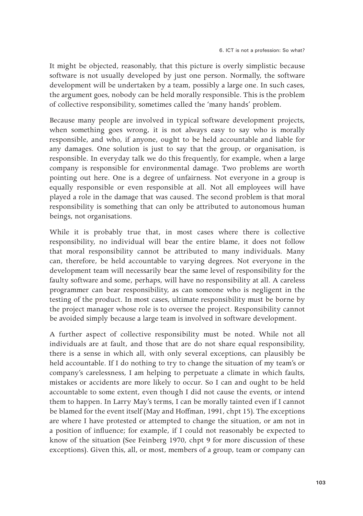It might be objected, reasonably, that this picture is overly simplistic because software is not usually developed by just one person. Normally, the software development will be undertaken by a team, possibly a large one. In such cases, the argument goes, nobody can be held morally responsible. This is the problem of collective responsibility, sometimes called the 'many hands' problem.

Because many people are involved in typical software development projects, when something goes wrong, it is not always easy to say who is morally responsible, and who, if anyone, ought to be held accountable and liable for any damages. One solution is just to say that the group, or organisation, is responsible. In everyday talk we do this frequently, for example, when a large company is responsible for environmental damage. Two problems are worth pointing out here. One is a degree of unfairness. Not everyone in a group is equally responsible or even responsible at all. Not all employees will have played a role in the damage that was caused. The second problem is that moral responsibility is something that can only be attributed to autonomous human beings, not organisations.

While it is probably true that, in most cases where there is collective responsibility, no individual will bear the entire blame, it does not follow that moral responsibility cannot be attributed to many individuals. Many can, therefore, be held accountable to varying degrees. Not everyone in the development team will necessarily bear the same level of responsibility for the faulty software and some, perhaps, will have no responsibility at all. A careless programmer can bear responsibility, as can someone who is negligent in the testing of the product. In most cases, ultimate responsibility must be borne by the project manager whose role is to oversee the project. Responsibility cannot be avoided simply because a large team is involved in software development.

A further aspect of collective responsibility must be noted. While not all individuals are at fault, and those that are do not share equal responsibility, there is a sense in which all, with only several exceptions, can plausibly be held accountable. If I do nothing to try to change the situation of my team's or company's carelessness, I am helping to perpetuate a climate in which faults, mistakes or accidents are more likely to occur. So I can and ought to be held accountable to some extent, even though I did not cause the events, or intend them to happen. In Larry May's terms, I can be morally tainted even if I cannot be blamed for the event itself (May and Hoffman, 1991, chpt 15). The exceptions are where I have protested or attempted to change the situation, or am not in a position of influence; for example, if I could not reasonably be expected to know of the situation (See Feinberg 1970, chpt 9 for more discussion of these exceptions). Given this, all, or most, members of a group, team or company can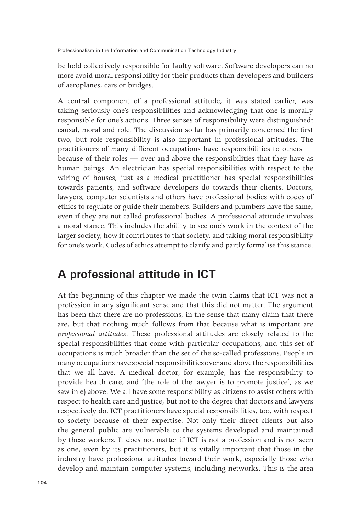Professionalism in the Information and Communication Technology Industry

be held collectively responsible for faulty software. Software developers can no more avoid moral responsibility for their products than developers and builders of aeroplanes, cars or bridges.

A central component of a professional attitude, it was stated earlier, was taking seriously one's responsibilities and acknowledging that one is morally responsible for one's actions. Three senses of responsibility were distinguished: causal, moral and role. The discussion so far has primarily concerned the first two, but role responsibility is also important in professional attitudes. The practitioners of many different occupations have responsibilities to others because of their roles — over and above the responsibilities that they have as human beings. An electrician has special responsibilities with respect to the wiring of houses, just as a medical practitioner has special responsibilities towards patients, and software developers do towards their clients. Doctors, lawyers, computer scientists and others have professional bodies with codes of ethics to regulate or guide their members. Builders and plumbers have the same, even if they are not called professional bodies. A professional attitude involves a moral stance. This includes the ability to see one's work in the context of the larger society, how it contributes to that society, and taking moral responsibility for one's work. Codes of ethics attempt to clarify and partly formalise this stance.

### **A professional attitude in ICT**

At the beginning of this chapter we made the twin claims that ICT was not a profession in any significant sense and that this did not matter. The argument has been that there are no professions, in the sense that many claim that there are, but that nothing much follows from that because what is important are *professional attitudes*. These professional attitudes are closely related to the special responsibilities that come with particular occupations, and this set of occupations is much broader than the set of the so-called professions. People in many occupations have special responsibilities over and above the responsibilities that we all have. A medical doctor, for example, has the responsibility to provide health care, and 'the role of the lawyer is to promote justice', as we saw in e) above. We all have some responsibility as citizens to assist others with respect to health care and justice, but not to the degree that doctors and lawyers respectively do. ICT practitioners have special responsibilities, too, with respect to society because of their expertise. Not only their direct clients but also the general public are vulnerable to the systems developed and maintained by these workers. It does not matter if ICT is not a profession and is not seen as one, even by its practitioners, but it is vitally important that those in the industry have professional attitudes toward their work, especially those who develop and maintain computer systems, including networks. This is the area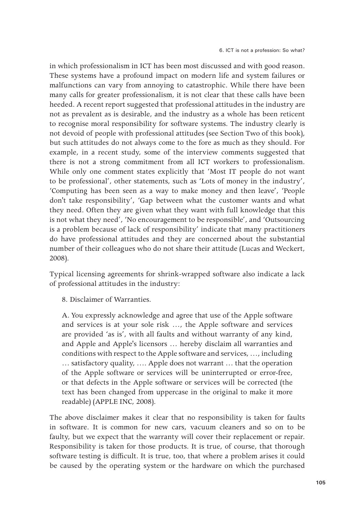in which professionalism in ICT has been most discussed and with good reason. These systems have a profound impact on modern life and system failures or malfunctions can vary from annoying to catastrophic. While there have been many calls for greater professionalism, it is not clear that these calls have been heeded. A recent report suggested that professional attitudes in the industry are not as prevalent as is desirable, and the industry as a whole has been reticent to recognise moral responsibility for software systems. The industry clearly is not devoid of people with professional attitudes (see Section Two of this book), but such attitudes do not always come to the fore as much as they should. For example, in a recent study, some of the interview comments suggested that there is not a strong commitment from all ICT workers to professionalism. While only one comment states explicitly that 'Most IT people do not want to be professional', other statements, such as 'Lots of money in the industry', 'Computing has been seen as a way to make money and then leave', 'People don't take responsibility', 'Gap between what the customer wants and what they need. Often they are given what they want with full knowledge that this is not what they need', 'No encouragement to be responsible', and 'Outsourcing is a problem because of lack of responsibility' indicate that many practitioners do have professional attitudes and they are concerned about the substantial number of their colleagues who do not share their attitude (Lucas and Weckert, 2008).

Typical licensing agreements for shrink-wrapped software also indicate a lack of professional attitudes in the industry:

8. Disclaimer of Warranties.

A. You expressly acknowledge and agree that use of the Apple software and services is at your sole risk …, the Apple software and services are provided 'as is', with all faults and without warranty of any kind, and Apple and Apple's licensors … hereby disclaim all warranties and conditions with respect to the Apple software and services, …, including … satisfactory quality, …. Apple does not warrant … that the operation of the Apple software or services will be uninterrupted or error-free, or that defects in the Apple software or services will be corrected (the text has been changed from uppercase in the original to make it more readable) (APPLE INC, 2008).

The above disclaimer makes it clear that no responsibility is taken for faults in software. It is common for new cars, vacuum cleaners and so on to be faulty, but we expect that the warranty will cover their replacement or repair. Responsibility is taken for those products. It is true, of course, that thorough software testing is difficult. It is true, too, that where a problem arises it could be caused by the operating system or the hardware on which the purchased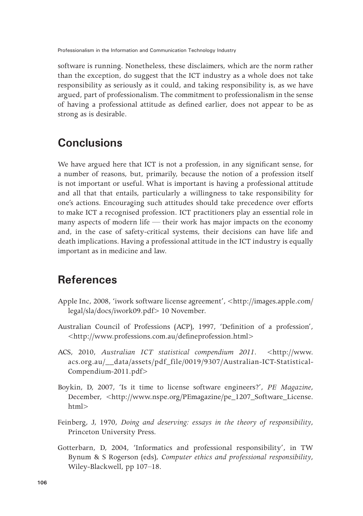Professionalism in the Information and Communication Technology Industry

software is running. Nonetheless, these disclaimers, which are the norm rather than the exception, do suggest that the ICT industry as a whole does not take responsibility as seriously as it could, and taking responsibility is, as we have argued, part of professionalism. The commitment to professionalism in the sense of having a professional attitude as defined earlier, does not appear to be as strong as is desirable.

### **Conclusions**

We have argued here that ICT is not a profession, in any significant sense, for a number of reasons, but, primarily, because the notion of a profession itself is not important or useful. What is important is having a professional attitude and all that that entails, particularly a willingness to take responsibility for one's actions. Encouraging such attitudes should take precedence over efforts to make ICT a recognised profession. ICT practitioners play an essential role in many aspects of modern life — their work has major impacts on the economy and, in the case of safety-critical systems, their decisions can have life and death implications. Having a professional attitude in the ICT industry is equally important as in medicine and law.

### **References**

- Apple Inc, 2008, 'iwork software license agreement', <http://images.apple.com/ legal/sla/docs/iwork09.pdf> 10 November.
- Australian Council of Professions (ACP), 1997, 'Definition of a profession', <http://www.professions.com.au/defineprofession.html>
- ACS, 2010, *Australian ICT statistical compendium 2011*. <http://www. acs.org.au/\_\_data/assets/pdf\_file/0019/9307/Australian-ICT-Statistical-Compendium-2011.pdf>
- Boykin, D, 2007, 'Is it time to license software engineers?', *PE Magazine*, December, <http://www.nspe.org/PEmagazine/pe\_1207\_Software\_License. html>
- Feinberg, J, 1970, *Doing and deserving: essays in the theory of responsibility*, Princeton University Press.
- Gotterbarn, D, 2004, 'Informatics and professional responsibility', in TW Bynum & S Rogerson (eds), *Computer ethics and professional responsibility*, Wiley-Blackwell, pp 107–18.